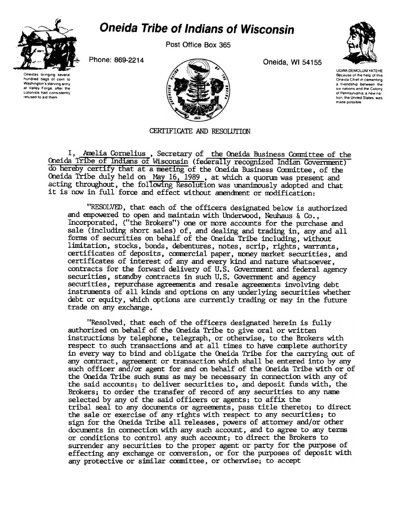

## **Oneida Tribe of Indians of Wisconsin**

Post Office Box 365

Phone: 869-2214 **Oneida, WI 54155** 





UGWA DEMOLUM YATEHE Because of the help of this Oneida Chief in cementing a friendship between the six nations and the Colony of Pennsylvania, a new nation, the United States, was made possible

CERTIFICATE AND RESOLUTION

I, Amelia Cornelius, Secretary of the Oneida Business Committee of the Oneida Tribe of Indians of Wisconsin (federally recognized Indian Government) do hereby certify that at a meeting of the Oneida Business Committee, of the Oneida Tribe duly held on May 16, 1989, at which a quorum was present and acting throughout, the following Resolution was unanimously adopted and that it is now in full force and effect without amendment or modification:

"RESOLVED, that each of the officers designated below is authorized and empowered to open and maintain with Underwood, Neuhaus & Co., Incorporated, ("the Brokers") one or more accounts for the purchase and sale (including short sales) of, and dealing and trading in, any and all forms of securities on behalf of the Oneida Tribe including, without limitation, stocks, bonds, debentures, notes, scrip, rights, warrants, certificates of deposits, commercial paper, money market securities, and certificates of interest of any and every kind and nature whatsoever, contracts for the forward delivery of U.S. Goverrment and federal agency securities, standby contracts in such U. S. Goverrment and agency securities, repurchase agreements and resale agreements involving debt instnments of all kinds and options on any underlying securities whether debt or equity, which options are currently trading or may in the future trade on any exchange.

"Resolved, that each of the officers designated herein is fully authorized on behalf of the Oneida Tribe to give oral or written instructions by telephone, telegraph, or othetwise, to the Brokers with respect to such transactions and at all times to have canplete authority in every way to bind and obligate the Oneida 1ribe for the carrying out of any contract, agreement or transaction which shall be entered into by any such officer and/or agent for and on behalf of the Oneida Tribe with or of the Oneida Tribe such sums as may be necessary in connection with any of the said accounts; to deliver securities to, and deposit funds with, the Brokers; to order the transfer of record of any securities to any name selected by any of the said officers or agents; to affix the tribal seal to any documents or agreements, pass title thereto; to direct the sale or exercise of any rights with respect to any securities; to sign for the Oneida Tribe all releases, powers of attorney and/or other documents in connection with any such account, and to agree to any terms or conditions to control any such account; to direct the Brokers to surrender any securities to the proper agent or party for the purpose of effecting any exchange or conversion, or for the purposes of deposit with any protective or similar committee, or otherwise; to accept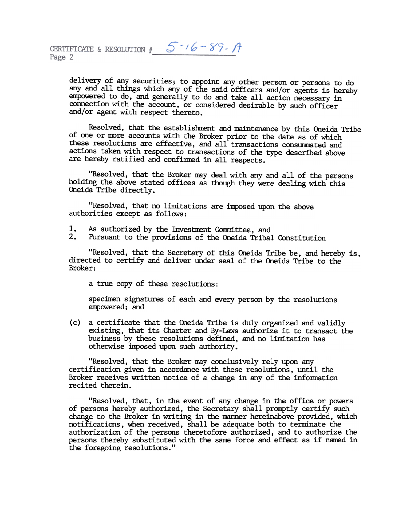delivery of any securities; to appoint any other person or persons to do any and all things which any of the said officers and/or agents is hereby empowered to do, and generally to do and take all action necessary in connection with the account, or considered desirable by such officer and/or agent with respect thereto.

Resolved, that the establishment and maintenance by this Oneida Tribe of one or more accounts with the Broker prior to the date as of which these resolutions are effective, and all transactions consummated and actions taken with respect to transactions of the type described above are hereby ratified and confirmed in all respects.

"Resolved, that the Broker may deal with any and all of the persons holding the above stated offices as though they were dealing with this Oneida Tribe directly.

"Resolved, that no limitations are imposed upon the above authorities except as follows:

- 
- 1. As authorized by the Investment Committee, and<br>2. Pursuant to the provisions of the Oneida Tribal Constitution

"Resolved, that the Secretary of this Oneida Tribe be, and hereby is, directed to certify and deliver under seal of the Oneida Tribe to the Broker:

a true copy of these resolutions:

specimen signatures of each and every person by the resolutions empowered; and

(c) a certificate that the Oneida Tribe is duly organized and validly existing, that its Charter and By-Laws authorize it to transact the business by these resolutions defined, and no limitation has otherwise inposed upon such authority.

"Resolved, that the Broker may conclusively rely upon any certification given in accordance with these resolutions, until the Broker receives written notice of a change in any of the information recited therein.

"Resolved, that, in the event of any change in the office or powers of persons hereby authorized, the Secretary shall promptly certify such change to the Broker in writing in the manner hereinabove provided, which notifications, when received, shall be adequate both to terminate the authorization of the persons theretofore authorized, and to authorize the persons thereby substituted with the same force and effect as if named in the foregoing resolutions."